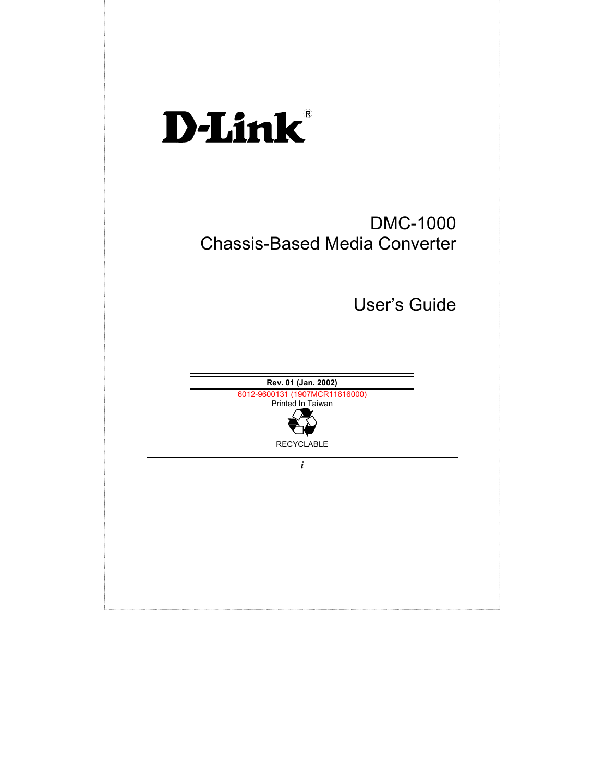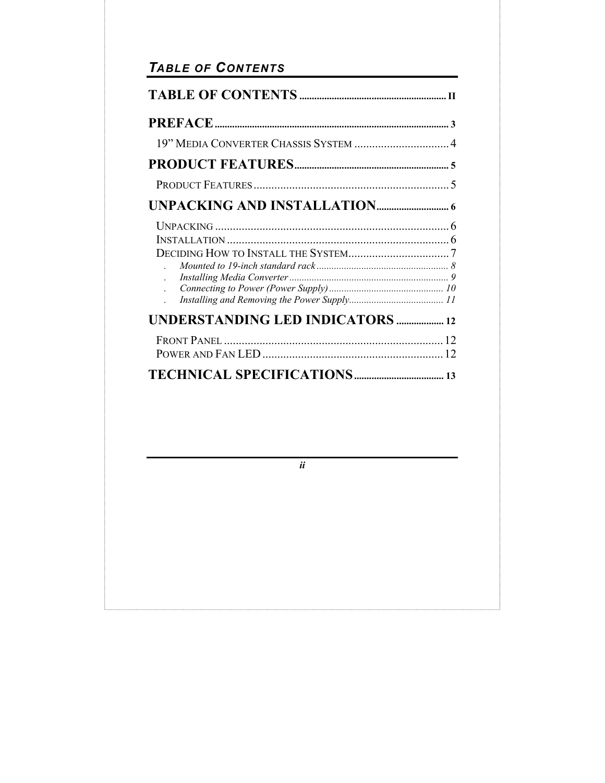# TABLE OF CONTENTS

| 19" MEDIA CONVERTER CHASSIS SYSTEM  4   |
|-----------------------------------------|
|                                         |
|                                         |
|                                         |
|                                         |
| <b>UNDERSTANDING LED INDICATORS  12</b> |
|                                         |
|                                         |

 $ii$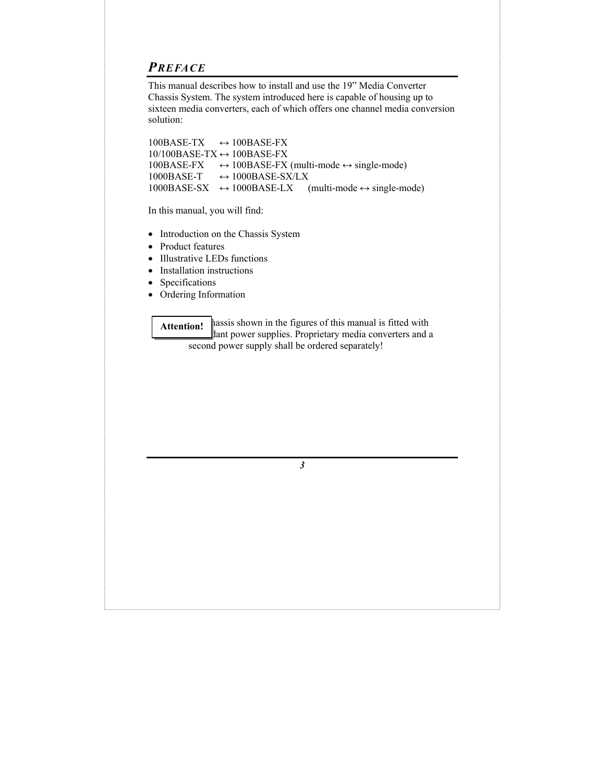### *PREFACE*

This manual describes how to install and use the 19" Media Converter Chassis System. The system introduced here is capable of housing up to sixteen media converters, each of which offers one channel media conversion solution:

 $100BASE-TX \rightarrow 100BASE-FX$  $10/100BASE-TX \leftrightarrow 100BASE-FX$  $100BASE-FX \rightarrow 100BASE-FX$  (multi-mode  $\leftrightarrow$  single-mode)  $1000BASE-T \rightarrow 1000BASE-SX/LX$ 1000BASE-SX  $\leftrightarrow$  1000BASE-LX (multi-mode  $\leftrightarrow$  single-mode)

In this manual, you will find:

- Introduction on the Chassis System
- Product features
- Illustrative LEDs functions
- Installation instructions
- Specifications
- Ordering Information

hassis shown in the figures of this manual is fitted with lant power supplies. Proprietary media converters and a second power supply shall be ordered separately! **Attention!**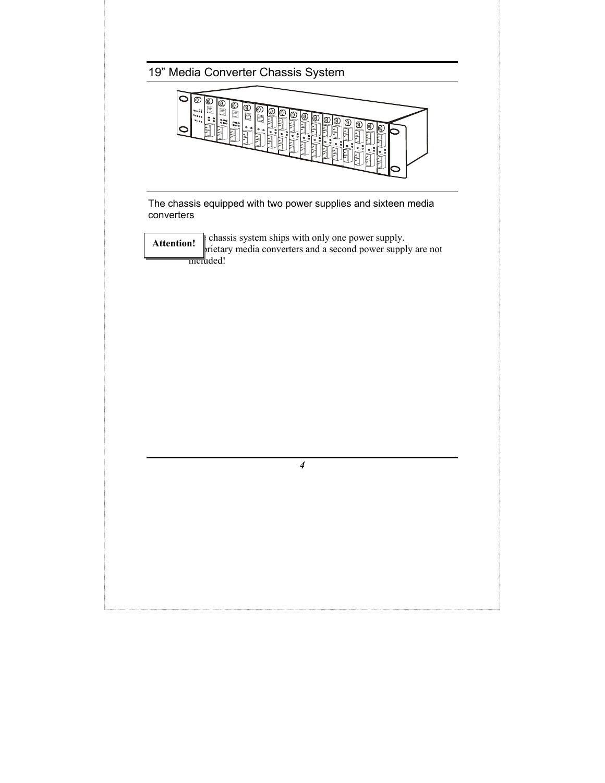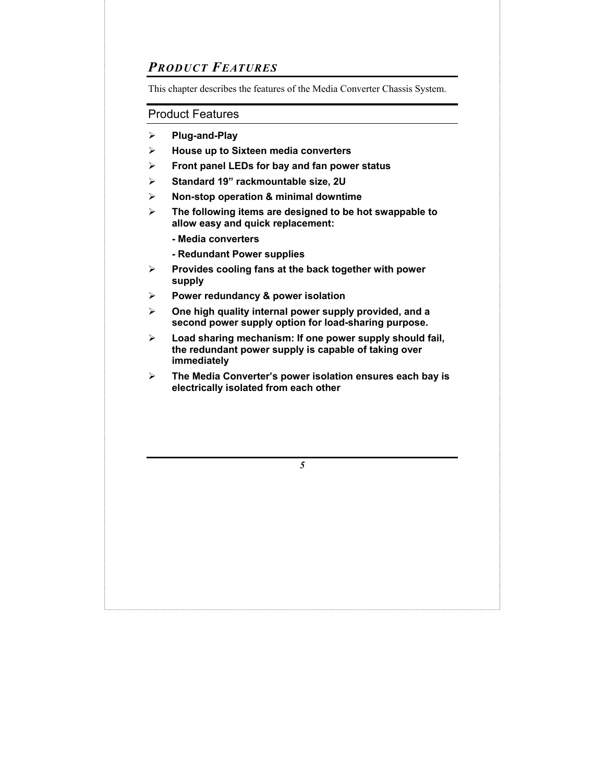## *PRODUCT FEATURES*

This chapter describes the features of the Media Converter Chassis System.

#### Product Features

- ¾ **Plug-and-Play**
- ¾ **House up to Sixteen media converters**
- ¾ **Front panel LEDs for bay and fan power status**
- ¾ **Standard 19" rackmountable size, 2U**
- ¾ **Non-stop operation & minimal downtime**
- ¾ **The following items are designed to be hot swappable to allow easy and quick replacement:** 
	- **Media converters**
	- **Redundant Power supplies**
- ¾ **Provides cooling fans at the back together with power supply**
- ¾ **Power redundancy & power isolation**
- ¾ **One high quality internal power supply provided, and a second power supply option for load-sharing purpose.**
- ¾ **Load sharing mechanism: If one power supply should fail, the redundant power supply is capable of taking over immediately**
- ¾ **The Media Converter's power isolation ensures each bay is electrically isolated from each other**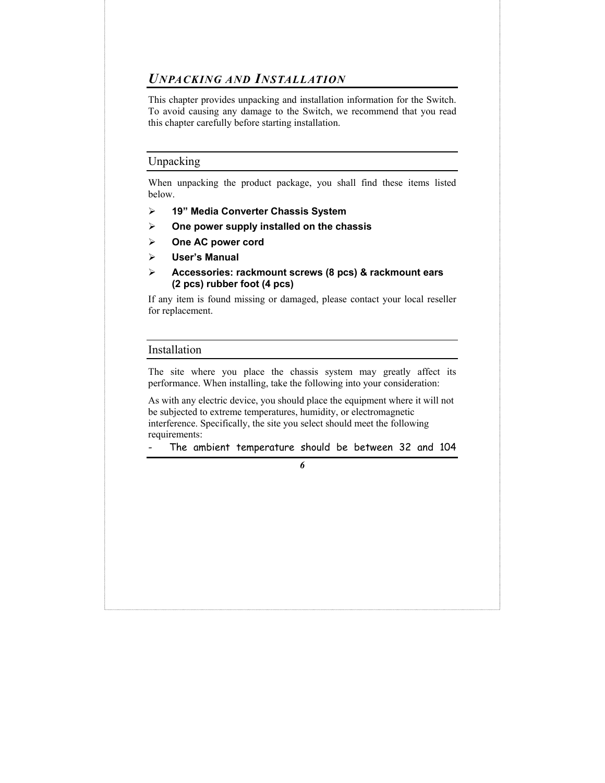### *UNPACKING AND INSTALLATION*

This chapter provides unpacking and installation information for the Switch. To avoid causing any damage to the Switch, we recommend that you read this chapter carefully before starting installation.

#### Unpacking

When unpacking the product package, you shall find these items listed below.

- ¾ **19" Media Converter Chassis System**
- ¾ **One power supply installed on the chassis**
- ¾ **One AC power cord**
- ¾ **User's Manual**
- ¾ **Accessories: rackmount screws (8 pcs) & rackmount ears (2 pcs) rubber foot (4 pcs)**

If any item is found missing or damaged, please contact your local reseller for replacement.

#### Installation

The site where you place the chassis system may greatly affect its performance. When installing, take the following into your consideration:

As with any electric device, you should place the equipment where it will not be subjected to extreme temperatures, humidity, or electromagnetic interference. Specifically, the site you select should meet the following requirements:

The ambient temperature should be between 32 and 104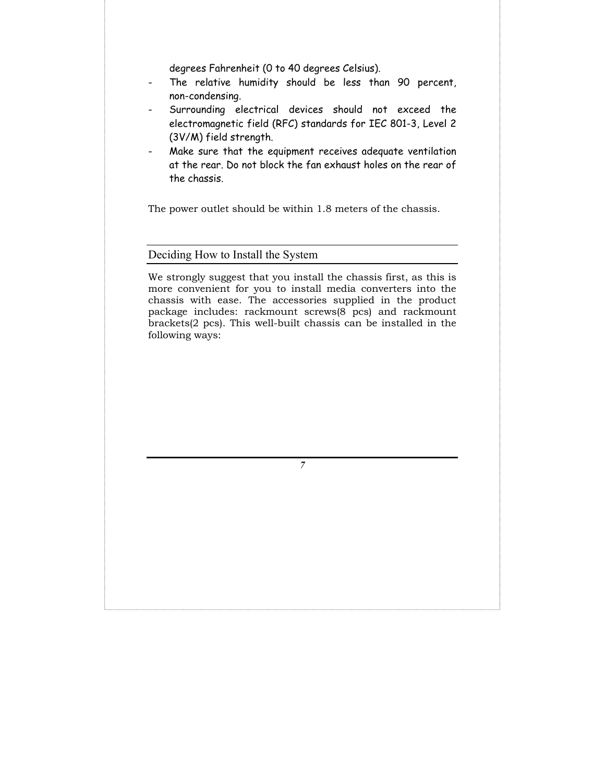degrees Fahrenheit (0 to 40 degrees Celsius).

- The relative humidity should be less than 90 percent, non-condensing.
- Surrounding electrical devices should not exceed the electromagnetic field (RFC) standards for IEC 801-3, Level 2 (3V/M) field strength.
- Make sure that the equipment receives adequate ventilation at the rear. Do not block the fan exhaust holes on the rear of the chassis.

The power outlet should be within 1.8 meters of the chassis.

#### Deciding How to Install the System

We strongly suggest that you install the chassis first, as this is more convenient for you to install media converters into the chassis with ease. The accessories supplied in the product package includes: rackmount screws(8 pcs) and rackmount brackets(2 pcs). This well-built chassis can be installed in the following ways: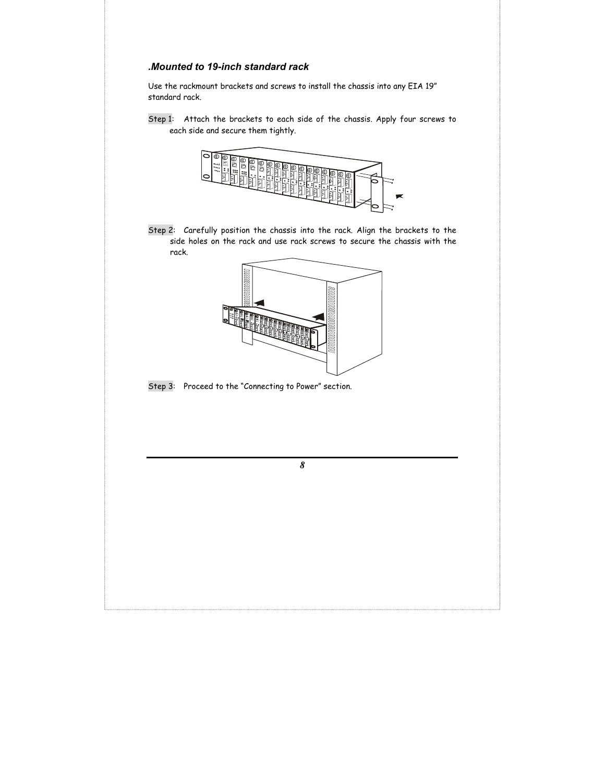#### *.Mounted to 19-inch standard rack*

Use the rackmount brackets and screws to install the chassis into any EIA 19" standard rack.

Step 1: Attach the brackets to each side of the chassis. Apply four screws to each side and secure them tightly.



Step 2: Carefully position the chassis into the rack. Align the brackets to the side holes on the rack and use rack screws to secure the chassis with the rack.



Step 3: Proceed to the "Connecting to Power" section.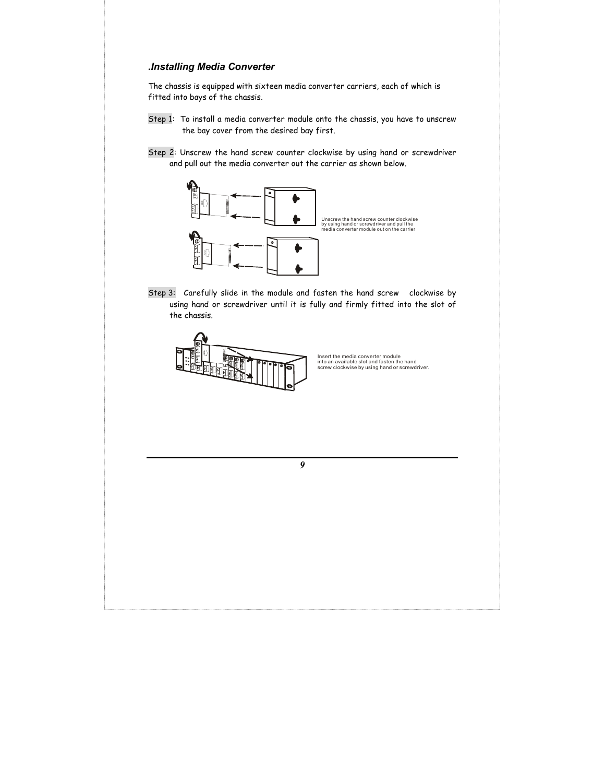#### *.Installing Media Converter*

The chassis is equipped with sixteen media converter carriers, each of which is fitted into bays of the chassis.

- Step 1: To install a media converter module onto the chassis, you have to unscrew the bay cover from the desired bay first.
- Step 2: Unscrew the hand screw counter clockwise by using hand or screwdriver and pull out the media converter out the carrier as shown below.



Step 3: Carefully slide in the module and fasten the hand screw clockwise by using hand or screwdriver until it is fully and firmly fitted into the slot of the chassis.



Insert the media converter module into an available slot and fasten the hand screw clockwise by using hand or screwdriver.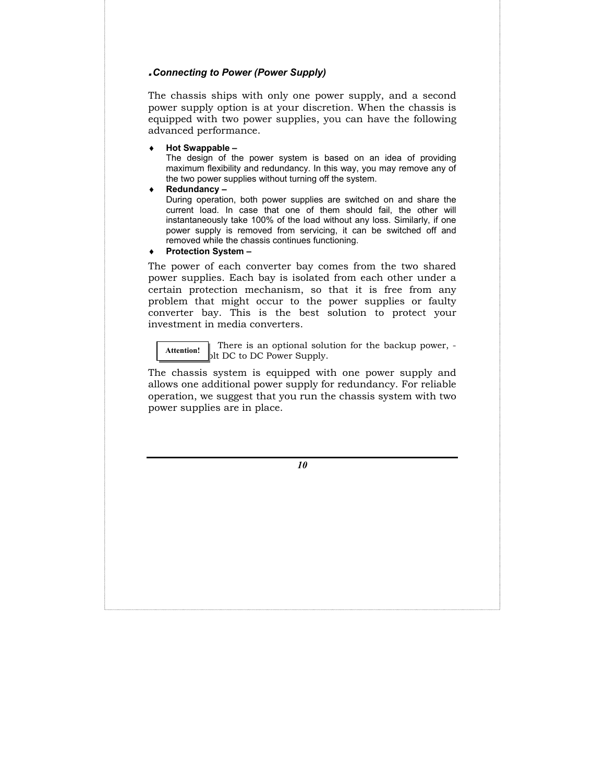#### *.Connecting to Power (Power Supply)*

The chassis ships with only one power supply, and a second power supply option is at your discretion. When the chassis is equipped with two power supplies, you can have the following advanced performance.

♦ **Hot Swappable** *–*

The design of the power system is based on an idea of providing maximum flexibility and redundancy. In this way, you may remove any of the two power supplies without turning off the system.

♦ **Redundancy** *–*

During operation, both power supplies are switched on and share the current load. In case that one of them should fail, the other will instantaneously take 100% of the load without any loss. Similarly, if one power supply is removed from servicing, it can be switched off and removed while the chassis continues functioning.

**Protection System –** 

The power of each converter bay comes from the two shared power supplies. Each bay is isolated from each other under a certain protection mechanism, so that it is free from any problem that might occur to the power supplies or faulty converter bay. This is the best solution to protect your investment in media converters.

 There is an optional solution for the backup power, blt DC to DC Power Supply. **Attention!** 

The chassis system is equipped with one power supply and allows one additional power supply for redundancy. For reliable operation, we suggest that you run the chassis system with two power supplies are in place.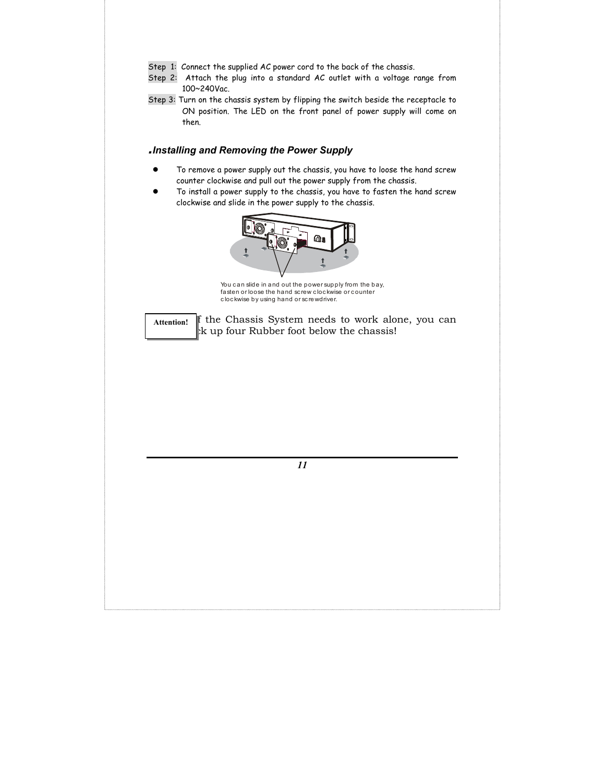- Step 1: Connect the supplied AC power cord to the back of the chassis.
- Step 2: Attach the plug into a standard AC outlet with a voltage range from 100~240Vac.
- Step 3: Turn on the chassis system by flipping the switch beside the receptacle to ON position. The LED on the front panel of power supply will come on then.

#### *.Installing and Removing the Power Supply*

- To remove a power supply out the chassis, you have to loose the hand screw counter clockwise and pull out the power supply from the chassis.
- To install a power supply to the chassis, you have to fasten the hand screw clockwise and slide in the power supply to the chassis.



You can slide in and out the power supply from the bay, fasten or loose the hand screw clockwise or counter c loc kwise by using hand or sc rewdriver.

 If the Chassis System needs to work alone, you can  $x$  the four Rubber foot below the chassis! **Attention!**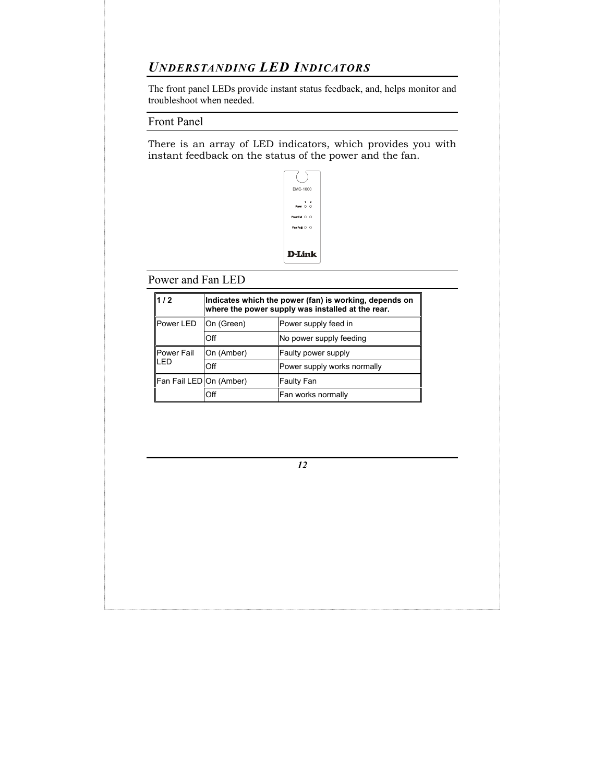## *UNDERSTANDING LED INDICATORS*

The front panel LEDs provide instant status feedback, and, helps monitor and troubleshoot when needed.

Front Panel

There is an array of LED indicators, which provides you with instant feedback on the status of the power and the fan.



Power and Fan LED

| $1/2$                    | Indicates which the power (fan) is working, depends on<br>where the power supply was installed at the rear. |                             |
|--------------------------|-------------------------------------------------------------------------------------------------------------|-----------------------------|
| Power LED                | On (Green)                                                                                                  | Power supply feed in        |
|                          | Off                                                                                                         | No power supply feeding     |
| <b>Power Fail</b><br>LED | On (Amber)                                                                                                  | Faulty power supply         |
|                          | Off                                                                                                         | Power supply works normally |
| Fan Fail LED On (Amber)  |                                                                                                             | <b>Faulty Fan</b>           |
|                          | Off                                                                                                         | Fan works normally          |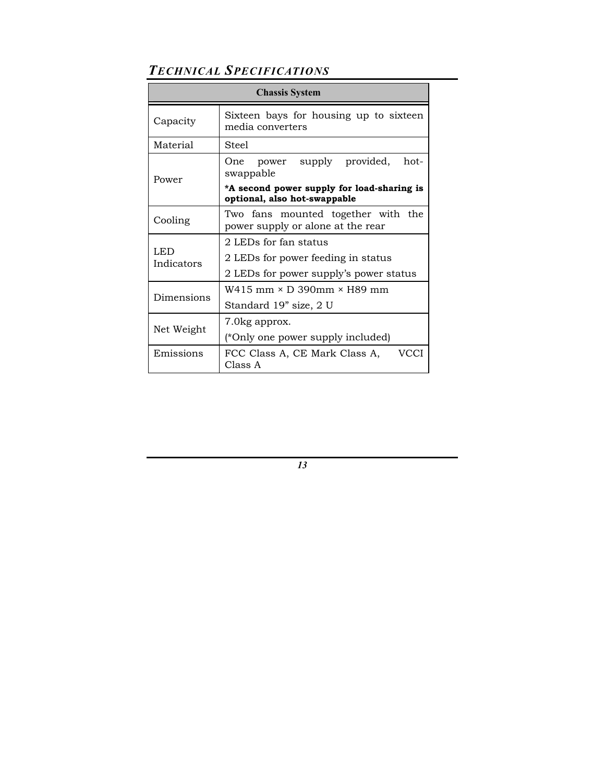# *TECHNICAL SPECIFICATIONS*

| <b>Chassis System</b> |                                                                            |  |  |
|-----------------------|----------------------------------------------------------------------------|--|--|
| Capacity              | Sixteen bays for housing up to sixteen<br>media converters                 |  |  |
| Material              | Steel                                                                      |  |  |
| Power                 | One power supply provided, hot-<br>swappable                               |  |  |
|                       | *A second power supply for load-sharing is<br>optional, also hot-swappable |  |  |
| Cooling               | Two fans mounted together with the<br>power supply or alone at the rear    |  |  |
| LED<br>Indicators     | 2 LEDs for fan status                                                      |  |  |
|                       | 2 LEDs for power feeding in status                                         |  |  |
|                       | 2 LEDs for power supply's power status                                     |  |  |
| Dimensions            | $W415$ mm $\times$ D 390mm $\times$ H89 mm                                 |  |  |
|                       | Standard 19" size, 2 U                                                     |  |  |
| Net Weight            | 7.0 kg approx.                                                             |  |  |
|                       | (*Only one power supply included)                                          |  |  |
| Emissions             | VCCI<br>FCC Class A, CE Mark Class A,<br>Class A                           |  |  |